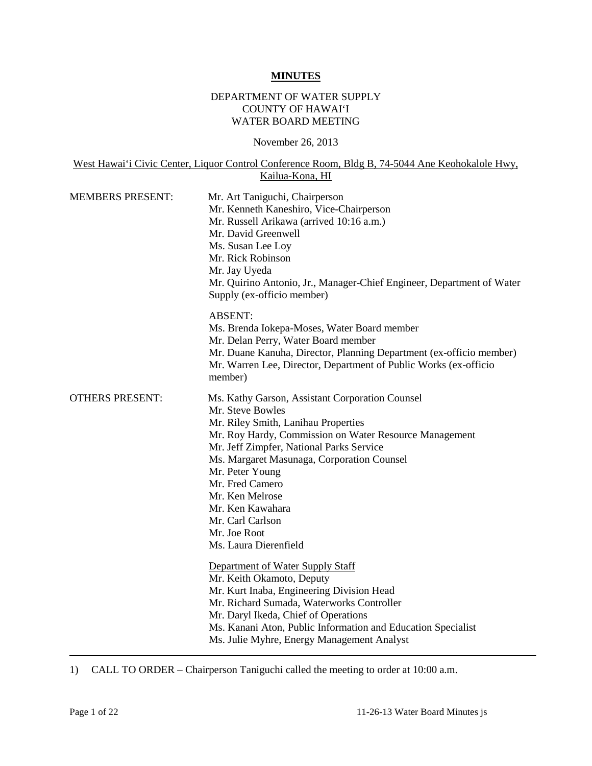#### **MINUTES**

## DEPARTMENT OF WATER SUPPLY COUNTY OF HAWAI'I WATER BOARD MEETING

November 26, 2013

West Hawai'i Civic Center, Liquor Control Conference Room, Bldg B, 74-5044 Ane Keohokalole Hwy, Kailua-Kona, HI

| <b>MEMBERS PRESENT:</b> | Mr. Art Taniguchi, Chairperson<br>Mr. Kenneth Kaneshiro, Vice-Chairperson<br>Mr. Russell Arikawa (arrived 10:16 a.m.)<br>Mr. David Greenwell<br>Ms. Susan Lee Loy<br>Mr. Rick Robinson<br>Mr. Jay Uyeda<br>Mr. Quirino Antonio, Jr., Manager-Chief Engineer, Department of Water<br>Supply (ex-officio member)                                                                                           |  |
|-------------------------|----------------------------------------------------------------------------------------------------------------------------------------------------------------------------------------------------------------------------------------------------------------------------------------------------------------------------------------------------------------------------------------------------------|--|
|                         | <b>ABSENT:</b><br>Ms. Brenda Jokepa-Moses, Water Board member<br>Mr. Delan Perry, Water Board member<br>Mr. Duane Kanuha, Director, Planning Department (ex-officio member)<br>Mr. Warren Lee, Director, Department of Public Works (ex-officio<br>member)                                                                                                                                               |  |
| <b>OTHERS PRESENT:</b>  | Ms. Kathy Garson, Assistant Corporation Counsel<br>Mr. Steve Bowles<br>Mr. Riley Smith, Lanihau Properties<br>Mr. Roy Hardy, Commission on Water Resource Management<br>Mr. Jeff Zimpfer, National Parks Service<br>Ms. Margaret Masunaga, Corporation Counsel<br>Mr. Peter Young<br>Mr. Fred Camero<br>Mr. Ken Melrose<br>Mr. Ken Kawahara<br>Mr. Carl Carlson<br>Mr. Joe Root<br>Ms. Laura Dierenfield |  |
|                         | Department of Water Supply Staff<br>Mr. Keith Okamoto, Deputy<br>Mr. Kurt Inaba, Engineering Division Head<br>Mr. Richard Sumada, Waterworks Controller<br>Mr. Daryl Ikeda, Chief of Operations<br>Ms. Kanani Aton, Public Information and Education Specialist<br>Ms. Julie Myhre, Energy Management Analyst                                                                                            |  |

1) CALL TO ORDER – Chairperson Taniguchi called the meeting to order at 10:00 a.m.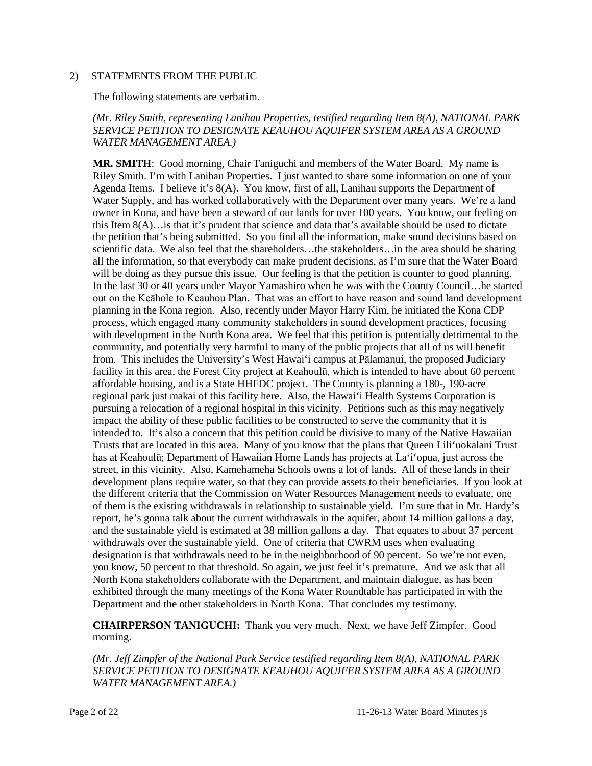#### 2) STATEMENTS FROM THE PUBLIC

The following statements are verbatim.

### *(Mr. Riley Smith, representing Lanihau Properties, testified regarding Item 8(A), NATIONAL PARK SERVICE PETITION TO DESIGNATE KEAUHOU AQUIFER SYSTEM AREA AS A GROUND WATER MANAGEMENT AREA.)*

**MR. SMITH**: Good morning, Chair Taniguchi and members of the Water Board. My name is Riley Smith. I'm with Lanihau Properties. I just wanted to share some information on one of your Agenda Items. I believe it's 8(A). You know, first of all, Lanihau supports the Department of Water Supply, and has worked collaboratively with the Department over many years. We're a land owner in Kona, and have been a steward of our lands for over 100 years. You know, our feeling on this Item 8(A)…is that it's prudent that science and data that's available should be used to dictate the petition that's being submitted. So you find all the information, make sound decisions based on scientific data. We also feel that the shareholders…the stakeholders…in the area should be sharing all the information, so that everybody can make prudent decisions, as I'm sure that the Water Board will be doing as they pursue this issue. Our feeling is that the petition is counter to good planning. In the last 30 or 40 years under Mayor Yamashiro when he was with the County Council…he started out on the Keāhole to Keauhou Plan. That was an effort to have reason and sound land development planning in the Kona region. Also, recently under Mayor Harry Kim, he initiated the Kona CDP process, which engaged many community stakeholders in sound development practices, focusing with development in the North Kona area. We feel that this petition is potentially detrimental to the community, and potentially very harmful to many of the public projects that all of us will benefit from. This includes the University's West Hawai'i campus at Pālamanui, the proposed Judiciary facility in this area, the Forest City project at Keahoulū, which is intended to have about 60 percent affordable housing, and is a State HHFDC project. The County is planning a 180-, 190-acre regional park just makai of this facility here. Also, the Hawai'i Health Systems Corporation is pursuing a relocation of a regional hospital in this vicinity. Petitions such as this may negatively impact the ability of these public facilities to be constructed to serve the community that it is intended to. It's also a concern that this petition could be divisive to many of the Native Hawaiian Trusts that are located in this area. Many of you know that the plans that Queen Lili'uokalani Trust has at Keahoulū; Department of Hawaiian Home Lands has projects at La'i'opua, just across the street, in this vicinity. Also, Kamehameha Schools owns a lot of lands. All of these lands in their development plans require water, so that they can provide assets to their beneficiaries. If you look at the different criteria that the Commission on Water Resources Management needs to evaluate, one of them is the existing withdrawals in relationship to sustainable yield. I'm sure that in Mr. Hardy's report, he's gonna talk about the current withdrawals in the aquifer, about 14 million gallons a day, and the sustainable yield is estimated at 38 million gallons a day. That equates to about 37 percent withdrawals over the sustainable yield. One of criteria that CWRM uses when evaluating designation is that withdrawals need to be in the neighborhood of 90 percent. So we're not even, you know, 50 percent to that threshold. So again, we just feel it's premature. And we ask that all North Kona stakeholders collaborate with the Department, and maintain dialogue, as has been exhibited through the many meetings of the Kona Water Roundtable has participated in with the Department and the other stakeholders in North Kona. That concludes my testimony.

**CHAIRPERSON TANIGUCHI:** Thank you very much. Next, we have Jeff Zimpfer. Good morning.

*(Mr. Jeff Zimpfer of the National Park Service testified regarding Item 8(A), NATIONAL PARK SERVICE PETITION TO DESIGNATE KEAUHOU AQUIFER SYSTEM AREA AS A GROUND WATER MANAGEMENT AREA.)*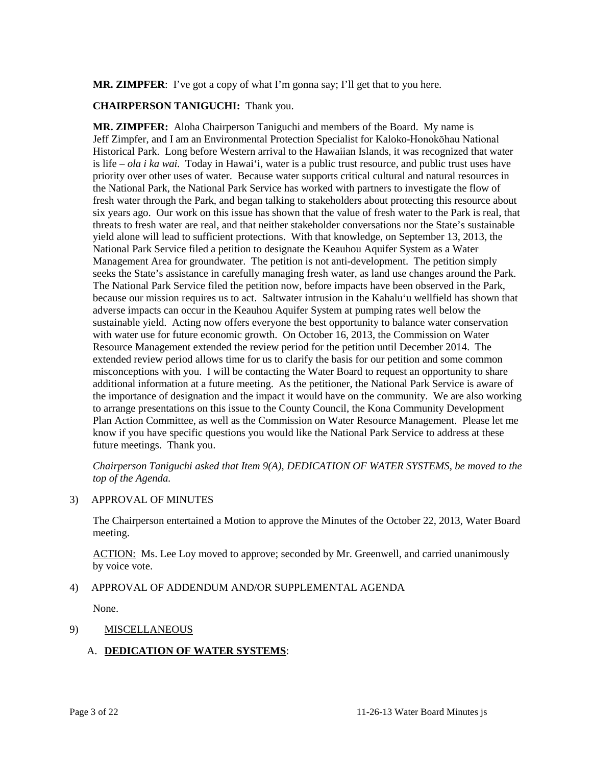MR. ZIMPFER: I've got a copy of what I'm gonna say; I'll get that to you here.

## **CHAIRPERSON TANIGUCHI:** Thank you.

**MR. ZIMPFER:** Aloha Chairperson Taniguchi and members of the Board. My name is Jeff Zimpfer, and I am an Environmental Protection Specialist for Kaloko-Honokōhau National Historical Park. Long before Western arrival to the Hawaiian Islands, it was recognized that water is life – *ola i ka wai.* Today in Hawai'i, water is a public trust resource, and public trust uses have priority over other uses of water. Because water supports critical cultural and natural resources in the National Park, the National Park Service has worked with partners to investigate the flow of fresh water through the Park, and began talking to stakeholders about protecting this resource about six years ago. Our work on this issue has shown that the value of fresh water to the Park is real, that threats to fresh water are real, and that neither stakeholder conversations nor the State's sustainable yield alone will lead to sufficient protections. With that knowledge, on September 13, 2013, the National Park Service filed a petition to designate the Keauhou Aquifer System as a Water Management Area for groundwater. The petition is not anti-development. The petition simply seeks the State's assistance in carefully managing fresh water, as land use changes around the Park. The National Park Service filed the petition now, before impacts have been observed in the Park, because our mission requires us to act. Saltwater intrusion in the Kahalu'u wellfield has shown that adverse impacts can occur in the Keauhou Aquifer System at pumping rates well below the sustainable yield. Acting now offers everyone the best opportunity to balance water conservation with water use for future economic growth. On October 16, 2013, the Commission on Water Resource Management extended the review period for the petition until December 2014. The extended review period allows time for us to clarify the basis for our petition and some common misconceptions with you. I will be contacting the Water Board to request an opportunity to share additional information at a future meeting. As the petitioner, the National Park Service is aware of the importance of designation and the impact it would have on the community. We are also working to arrange presentations on this issue to the County Council, the Kona Community Development Plan Action Committee, as well as the Commission on Water Resource Management. Please let me know if you have specific questions you would like the National Park Service to address at these future meetings. Thank you.

*Chairperson Taniguchi asked that Item 9(A), DEDICATION OF WATER SYSTEMS, be moved to the top of the Agenda.*

#### 3) APPROVAL OF MINUTES

The Chairperson entertained a Motion to approve the Minutes of the October 22, 2013, Water Board meeting.

ACTION: Ms. Lee Loy moved to approve; seconded by Mr. Greenwell, and carried unanimously by voice vote.

### 4) APPROVAL OF ADDENDUM AND/OR SUPPLEMENTAL AGENDA

None.

### 9) MISCELLANEOUS

# A. **DEDICATION OF WATER SYSTEMS**: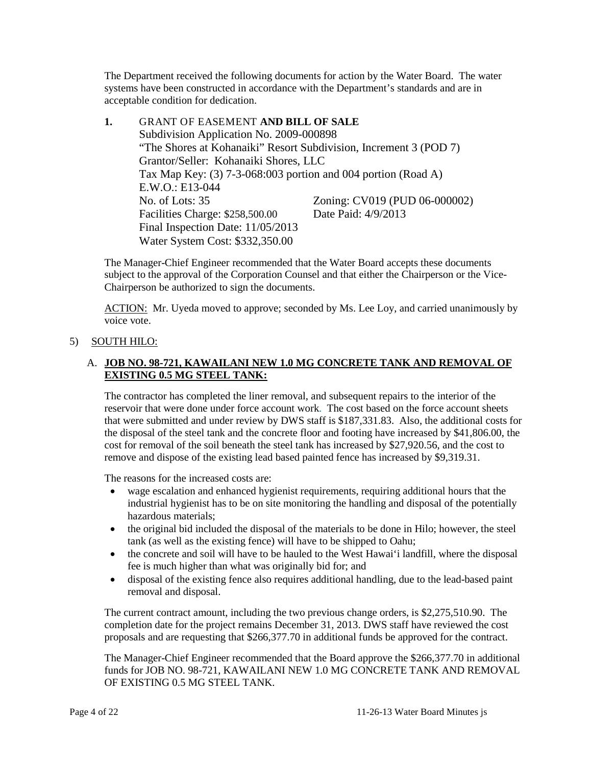The Department received the following documents for action by the Water Board. The water systems have been constructed in accordance with the Department's standards and are in acceptable condition for dedication.

**1.** GRANT OF EASEMENT **AND BILL OF SALE** Subdivision Application No. 2009-000898 "The Shores at Kohanaiki" Resort Subdivision, Increment 3 (POD 7) Grantor/Seller: Kohanaiki Shores, LLC Tax Map Key: (3) 7-3-068:003 portion and 004 portion (Road A) E.W.O.: E13-044 No. of Lots: 35 <br>
Facilities Charge: \$258,500.00 <br>
Date Paid: 4/9/2013 Facilities Charge: \$258,500.00 Final Inspection Date: 11/05/2013 Water System Cost: \$332,350.00

The Manager-Chief Engineer recommended that the Water Board accepts these documents subject to the approval of the Corporation Counsel and that either the Chairperson or the Vice-Chairperson be authorized to sign the documents.

ACTION: Mr. Uyeda moved to approve; seconded by Ms. Lee Loy, and carried unanimously by voice vote.

# 5) SOUTH HILO:

## A. **JOB NO. 98-721, KAWAILANI NEW 1.0 MG CONCRETE TANK AND REMOVAL OF EXISTING 0.5 MG STEEL TANK:**

The contractor has completed the liner removal, and subsequent repairs to the interior of the reservoir that were done under force account work. The cost based on the force account sheets that were submitted and under review by DWS staff is \$187,331.83. Also, the additional costs for the disposal of the steel tank and the concrete floor and footing have increased by \$41,806.00, the cost for removal of the soil beneath the steel tank has increased by \$27,920.56, and the cost to remove and dispose of the existing lead based painted fence has increased by \$9,319.31.

The reasons for the increased costs are:

- wage escalation and enhanced hygienist requirements, requiring additional hours that the industrial hygienist has to be on site monitoring the handling and disposal of the potentially hazardous materials;
- the original bid included the disposal of the materials to be done in Hilo; however, the steel tank (as well as the existing fence) will have to be shipped to Oahu;
- the concrete and soil will have to be hauled to the West Hawai'i landfill, where the disposal fee is much higher than what was originally bid for; and
- disposal of the existing fence also requires additional handling, due to the lead-based paint removal and disposal.

The current contract amount, including the two previous change orders, is \$2,275,510.90. The completion date for the project remains December 31, 2013. DWS staff have reviewed the cost proposals and are requesting that \$266,377.70 in additional funds be approved for the contract.

The Manager-Chief Engineer recommended that the Board approve the \$266,377.70 in additional funds for JOB NO. 98-721, KAWAILANI NEW 1.0 MG CONCRETE TANK AND REMOVAL OF EXISTING 0.5 MG STEEL TANK.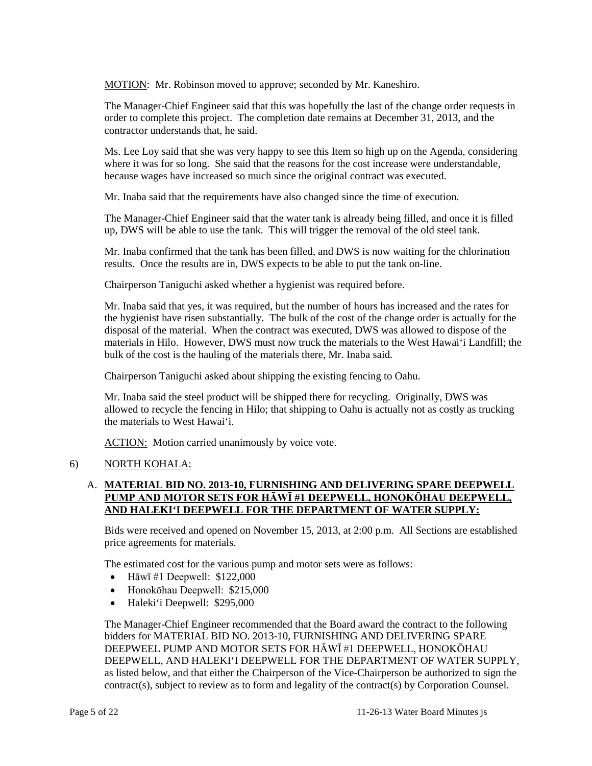MOTION: Mr. Robinson moved to approve; seconded by Mr. Kaneshiro.

The Manager-Chief Engineer said that this was hopefully the last of the change order requests in order to complete this project. The completion date remains at December 31, 2013, and the contractor understands that, he said.

Ms. Lee Loy said that she was very happy to see this Item so high up on the Agenda, considering where it was for so long. She said that the reasons for the cost increase were understandable, because wages have increased so much since the original contract was executed.

Mr. Inaba said that the requirements have also changed since the time of execution.

The Manager-Chief Engineer said that the water tank is already being filled, and once it is filled up, DWS will be able to use the tank. This will trigger the removal of the old steel tank.

Mr. Inaba confirmed that the tank has been filled, and DWS is now waiting for the chlorination results. Once the results are in, DWS expects to be able to put the tank on-line.

Chairperson Taniguchi asked whether a hygienist was required before.

Mr. Inaba said that yes, it was required, but the number of hours has increased and the rates for the hygienist have risen substantially. The bulk of the cost of the change order is actually for the disposal of the material. When the contract was executed, DWS was allowed to dispose of the materials in Hilo. However, DWS must now truck the materials to the West Hawai'i Landfill; the bulk of the cost is the hauling of the materials there, Mr. Inaba said.

Chairperson Taniguchi asked about shipping the existing fencing to Oahu.

Mr. Inaba said the steel product will be shipped there for recycling. Originally, DWS was allowed to recycle the fencing in Hilo; that shipping to Oahu is actually not as costly as trucking the materials to West Hawai'i.

ACTION: Motion carried unanimously by voice vote.

### 6) NORTH KOHALA:

# A. **MATERIAL BID NO. 2013-10, FURNISHING AND DELIVERING SPARE DEEPWELL PUMP AND MOTOR SETS FOR HĀWĪ #1 DEEPWELL, HONOKŌHAU DEEPWELL, AND HALEKI'I DEEPWELL FOR THE DEPARTMENT OF WATER SUPPLY:**

Bids were received and opened on November 15, 2013, at 2:00 p.m. All Sections are established price agreements for materials.

The estimated cost for the various pump and motor sets were as follows:

- Hāwī #1 Deepwell:  $$122,000$
- Honokōhau Deepwell: \$215,000
- Haleki'i Deepwell: \$295,000

The Manager-Chief Engineer recommended that the Board award the contract to the following bidders for MATERIAL BID NO. 2013-10, FURNISHING AND DELIVERING SPARE DEEPWEEL PUMP AND MOTOR SETS FOR HĀWĪ #1 DEEPWELL, HONOKŌHAU DEEPWELL, AND HALEKI'I DEEPWELL FOR THE DEPARTMENT OF WATER SUPPLY, as listed below, and that either the Chairperson of the Vice-Chairperson be authorized to sign the contract(s), subject to review as to form and legality of the contract(s) by Corporation Counsel.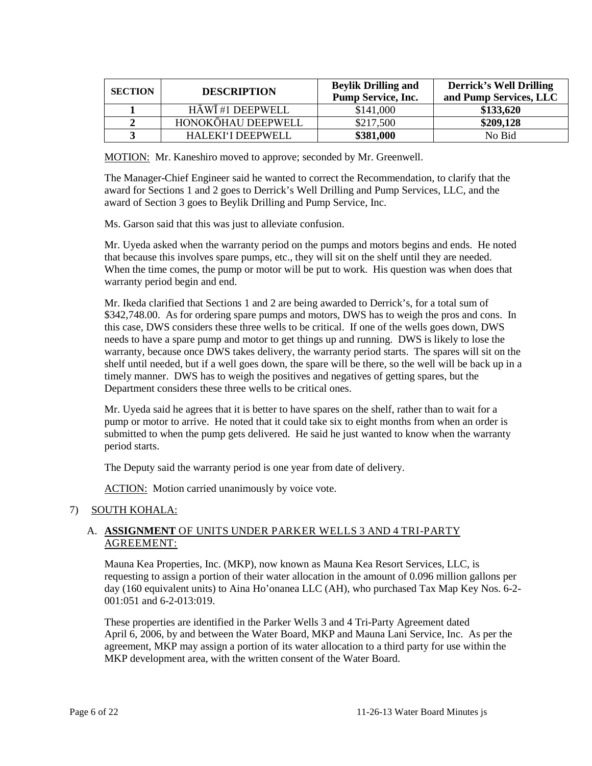| <b>SECTION</b> | <b>DESCRIPTION</b> | <b>Beylik Drilling and</b><br><b>Pump Service, Inc.</b> | <b>Derrick's Well Drilling</b><br>and Pump Services, LLC |
|----------------|--------------------|---------------------------------------------------------|----------------------------------------------------------|
|                | HĀWĪ #1 DEEPWELL   | \$141,000                                               | \$133,620                                                |
|                | HONOKŌHAU DEEPWELL | \$217,500                                               | \$209,128                                                |
|                | HALEKI'I DEEPWELL  | \$381,000                                               | No Bid                                                   |

MOTION: Mr. Kaneshiro moved to approve; seconded by Mr. Greenwell.

The Manager-Chief Engineer said he wanted to correct the Recommendation, to clarify that the award for Sections 1 and 2 goes to Derrick's Well Drilling and Pump Services, LLC, and the award of Section 3 goes to Beylik Drilling and Pump Service, Inc.

Ms. Garson said that this was just to alleviate confusion.

Mr. Uyeda asked when the warranty period on the pumps and motors begins and ends. He noted that because this involves spare pumps, etc., they will sit on the shelf until they are needed. When the time comes, the pump or motor will be put to work. His question was when does that warranty period begin and end.

Mr. Ikeda clarified that Sections 1 and 2 are being awarded to Derrick's, for a total sum of \$342,748.00. As for ordering spare pumps and motors, DWS has to weigh the pros and cons. In this case, DWS considers these three wells to be critical. If one of the wells goes down, DWS needs to have a spare pump and motor to get things up and running. DWS is likely to lose the warranty, because once DWS takes delivery, the warranty period starts. The spares will sit on the shelf until needed, but if a well goes down, the spare will be there, so the well will be back up in a timely manner. DWS has to weigh the positives and negatives of getting spares, but the Department considers these three wells to be critical ones.

Mr. Uyeda said he agrees that it is better to have spares on the shelf, rather than to wait for a pump or motor to arrive. He noted that it could take six to eight months from when an order is submitted to when the pump gets delivered. He said he just wanted to know when the warranty period starts.

The Deputy said the warranty period is one year from date of delivery.

ACTION: Motion carried unanimously by voice vote.

# 7) SOUTH KOHALA:

## A. **ASSIGNMENT** OF UNITS UNDER PARKER WELLS 3 AND 4 TRI-PARTY AGREEMENT:

Mauna Kea Properties, Inc. (MKP), now known as Mauna Kea Resort Services, LLC, is requesting to assign a portion of their water allocation in the amount of 0.096 million gallons per day (160 equivalent units) to Aina Ho'onanea LLC (AH), who purchased Tax Map Key Nos. 6-2- 001:051 and 6-2-013:019.

These properties are identified in the Parker Wells 3 and 4 Tri-Party Agreement dated April 6, 2006, by and between the Water Board, MKP and Mauna Lani Service, Inc. As per the agreement, MKP may assign a portion of its water allocation to a third party for use within the MKP development area, with the written consent of the Water Board.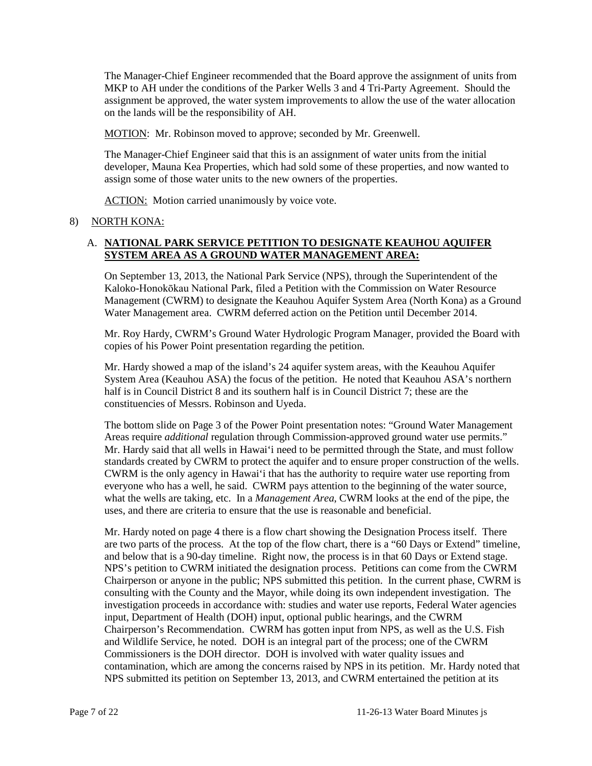The Manager-Chief Engineer recommended that the Board approve the assignment of units from MKP to AH under the conditions of the Parker Wells 3 and 4 Tri-Party Agreement. Should the assignment be approved, the water system improvements to allow the use of the water allocation on the lands will be the responsibility of AH.

MOTION: Mr. Robinson moved to approve; seconded by Mr. Greenwell.

The Manager-Chief Engineer said that this is an assignment of water units from the initial developer, Mauna Kea Properties, which had sold some of these properties, and now wanted to assign some of those water units to the new owners of the properties.

ACTION: Motion carried unanimously by voice vote.

## 8) NORTH KONA:

## A. **NATIONAL PARK SERVICE PETITION TO DESIGNATE KEAUHOU AQUIFER SYSTEM AREA AS A GROUND WATER MANAGEMENT AREA:**

On September 13, 2013, the National Park Service (NPS), through the Superintendent of the Kaloko-Honokōkau National Park, filed a Petition with the Commission on Water Resource Management (CWRM) to designate the Keauhou Aquifer System Area (North Kona) as a Ground Water Management area. CWRM deferred action on the Petition until December 2014.

Mr. Roy Hardy, CWRM's Ground Water Hydrologic Program Manager, provided the Board with copies of his Power Point presentation regarding the petition.

Mr. Hardy showed a map of the island's 24 aquifer system areas, with the Keauhou Aquifer System Area (Keauhou ASA) the focus of the petition. He noted that Keauhou ASA's northern half is in Council District 8 and its southern half is in Council District 7; these are the constituencies of Messrs. Robinson and Uyeda.

The bottom slide on Page 3 of the Power Point presentation notes: "Ground Water Management Areas require *additional* regulation through Commission-approved ground water use permits." Mr. Hardy said that all wells in Hawai'i need to be permitted through the State, and must follow standards created by CWRM to protect the aquifer and to ensure proper construction of the wells. CWRM is the only agency in Hawai'i that has the authority to require water use reporting from everyone who has a well, he said. CWRM pays attention to the beginning of the water source, what the wells are taking, etc. In a *Management Area*, CWRM looks at the end of the pipe, the uses, and there are criteria to ensure that the use is reasonable and beneficial.

Mr. Hardy noted on page 4 there is a flow chart showing the Designation Process itself. There are two parts of the process. At the top of the flow chart, there is a "60 Days or Extend" timeline, and below that is a 90-day timeline. Right now, the process is in that 60 Days or Extend stage. NPS's petition to CWRM initiated the designation process. Petitions can come from the CWRM Chairperson or anyone in the public; NPS submitted this petition. In the current phase, CWRM is consulting with the County and the Mayor, while doing its own independent investigation. The investigation proceeds in accordance with: studies and water use reports, Federal Water agencies input, Department of Health (DOH) input, optional public hearings, and the CWRM Chairperson's Recommendation. CWRM has gotten input from NPS, as well as the U.S. Fish and Wildlife Service, he noted. DOH is an integral part of the process; one of the CWRM Commissioners is the DOH director. DOH is involved with water quality issues and contamination, which are among the concerns raised by NPS in its petition. Mr. Hardy noted that NPS submitted its petition on September 13, 2013, and CWRM entertained the petition at its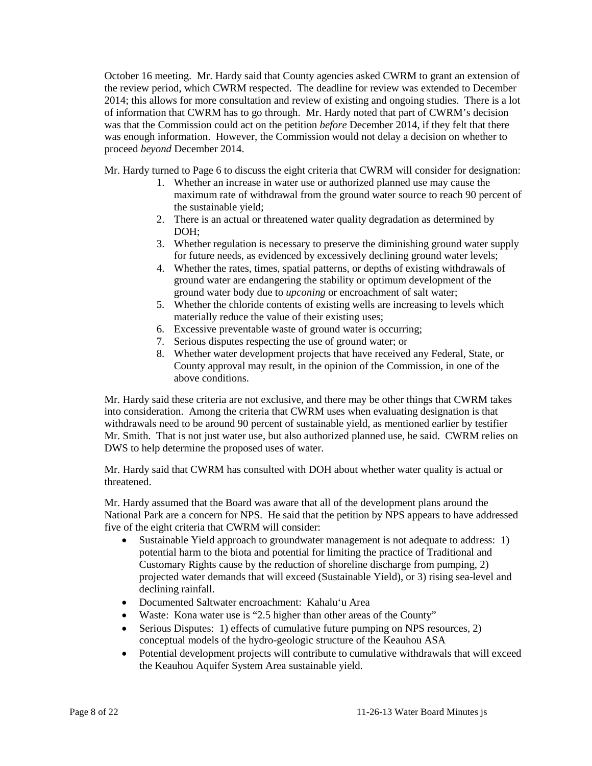October 16 meeting. Mr. Hardy said that County agencies asked CWRM to grant an extension of the review period, which CWRM respected. The deadline for review was extended to December 2014; this allows for more consultation and review of existing and ongoing studies. There is a lot of information that CWRM has to go through. Mr. Hardy noted that part of CWRM's decision was that the Commission could act on the petition *before* December 2014, if they felt that there was enough information. However, the Commission would not delay a decision on whether to proceed *beyond* December 2014.

Mr. Hardy turned to Page 6 to discuss the eight criteria that CWRM will consider for designation:

- 1. Whether an increase in water use or authorized planned use may cause the maximum rate of withdrawal from the ground water source to reach 90 percent of the sustainable yield;
- 2. There is an actual or threatened water quality degradation as determined by DOH;
- 3. Whether regulation is necessary to preserve the diminishing ground water supply for future needs, as evidenced by excessively declining ground water levels;
- 4. Whether the rates, times, spatial patterns, or depths of existing withdrawals of ground water are endangering the stability or optimum development of the ground water body due to *upconing* or encroachment of salt water;
- 5. Whether the chloride contents of existing wells are increasing to levels which materially reduce the value of their existing uses;
- 6. Excessive preventable waste of ground water is occurring;
- 7. Serious disputes respecting the use of ground water; or
- 8. Whether water development projects that have received any Federal, State, or County approval may result, in the opinion of the Commission, in one of the above conditions.

Mr. Hardy said these criteria are not exclusive, and there may be other things that CWRM takes into consideration. Among the criteria that CWRM uses when evaluating designation is that withdrawals need to be around 90 percent of sustainable yield, as mentioned earlier by testifier Mr. Smith. That is not just water use, but also authorized planned use, he said. CWRM relies on DWS to help determine the proposed uses of water.

Mr. Hardy said that CWRM has consulted with DOH about whether water quality is actual or threatened.

Mr. Hardy assumed that the Board was aware that all of the development plans around the National Park are a concern for NPS. He said that the petition by NPS appears to have addressed five of the eight criteria that CWRM will consider:

- Sustainable Yield approach to groundwater management is not adequate to address: 1) potential harm to the biota and potential for limiting the practice of Traditional and Customary Rights cause by the reduction of shoreline discharge from pumping, 2) projected water demands that will exceed (Sustainable Yield), or 3) rising sea-level and declining rainfall.
- Documented Saltwater encroachment: Kahalu'u Area
- Waste: Kona water use is "2.5 higher than other areas of the County"
- Serious Disputes: 1) effects of cumulative future pumping on NPS resources, 2) conceptual models of the hydro-geologic structure of the Keauhou ASA
- Potential development projects will contribute to cumulative withdrawals that will exceed the Keauhou Aquifer System Area sustainable yield.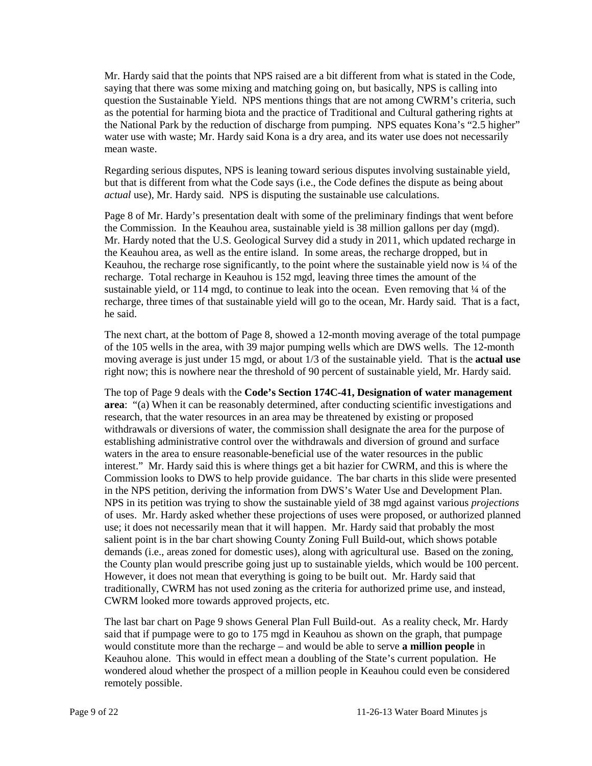Mr. Hardy said that the points that NPS raised are a bit different from what is stated in the Code, saying that there was some mixing and matching going on, but basically, NPS is calling into question the Sustainable Yield. NPS mentions things that are not among CWRM's criteria, such as the potential for harming biota and the practice of Traditional and Cultural gathering rights at the National Park by the reduction of discharge from pumping. NPS equates Kona's "2.5 higher" water use with waste; Mr. Hardy said Kona is a dry area, and its water use does not necessarily mean waste.

Regarding serious disputes, NPS is leaning toward serious disputes involving sustainable yield, but that is different from what the Code says (i.e., the Code defines the dispute as being about *actual* use), Mr. Hardy said. NPS is disputing the sustainable use calculations.

Page 8 of Mr. Hardy's presentation dealt with some of the preliminary findings that went before the Commission. In the Keauhou area, sustainable yield is 38 million gallons per day (mgd). Mr. Hardy noted that the U.S. Geological Survey did a study in 2011, which updated recharge in the Keauhou area, as well as the entire island. In some areas, the recharge dropped, but in Keauhou, the recharge rose significantly, to the point where the sustainable yield now is  $\frac{1}{4}$  of the recharge. Total recharge in Keauhou is 152 mgd, leaving three times the amount of the sustainable yield, or 114 mgd, to continue to leak into the ocean. Even removing that  $\frac{1}{4}$  of the recharge, three times of that sustainable yield will go to the ocean, Mr. Hardy said. That is a fact, he said.

The next chart, at the bottom of Page 8, showed a 12-month moving average of the total pumpage of the 105 wells in the area, with 39 major pumping wells which are DWS wells. The 12-month moving average is just under 15 mgd, or about 1/3 of the sustainable yield. That is the **actual use** right now; this is nowhere near the threshold of 90 percent of sustainable yield, Mr. Hardy said.

The top of Page 9 deals with the **Code's Section 174C-41, Designation of water management area**: "(a) When it can be reasonably determined, after conducting scientific investigations and research, that the water resources in an area may be threatened by existing or proposed withdrawals or diversions of water, the commission shall designate the area for the purpose of establishing administrative control over the withdrawals and diversion of ground and surface waters in the area to ensure reasonable-beneficial use of the water resources in the public interest." Mr. Hardy said this is where things get a bit hazier for CWRM, and this is where the Commission looks to DWS to help provide guidance. The bar charts in this slide were presented in the NPS petition, deriving the information from DWS's Water Use and Development Plan. NPS in its petition was trying to show the sustainable yield of 38 mgd against various *projections* of uses. Mr. Hardy asked whether these projections of uses were proposed, or authorized planned use; it does not necessarily mean that it will happen. Mr. Hardy said that probably the most salient point is in the bar chart showing County Zoning Full Build-out, which shows potable demands (i.e., areas zoned for domestic uses), along with agricultural use. Based on the zoning, the County plan would prescribe going just up to sustainable yields, which would be 100 percent. However, it does not mean that everything is going to be built out. Mr. Hardy said that traditionally, CWRM has not used zoning as the criteria for authorized prime use, and instead, CWRM looked more towards approved projects, etc.

The last bar chart on Page 9 shows General Plan Full Build-out. As a reality check, Mr. Hardy said that if pumpage were to go to 175 mgd in Keauhou as shown on the graph, that pumpage would constitute more than the recharge – and would be able to serve **a million people** in Keauhou alone. This would in effect mean a doubling of the State's current population. He wondered aloud whether the prospect of a million people in Keauhou could even be considered remotely possible.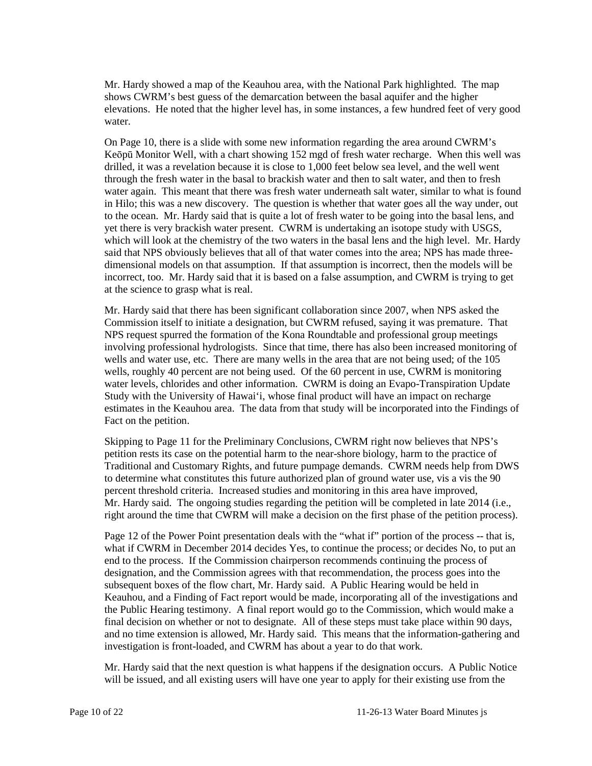Mr. Hardy showed a map of the Keauhou area, with the National Park highlighted. The map shows CWRM's best guess of the demarcation between the basal aquifer and the higher elevations. He noted that the higher level has, in some instances, a few hundred feet of very good water.

On Page 10, there is a slide with some new information regarding the area around CWRM's Keōpū Monitor Well, with a chart showing 152 mgd of fresh water recharge. When this well was drilled, it was a revelation because it is close to 1,000 feet below sea level, and the well went through the fresh water in the basal to brackish water and then to salt water, and then to fresh water again. This meant that there was fresh water underneath salt water, similar to what is found in Hilo; this was a new discovery. The question is whether that water goes all the way under, out to the ocean. Mr. Hardy said that is quite a lot of fresh water to be going into the basal lens, and yet there is very brackish water present. CWRM is undertaking an isotope study with USGS, which will look at the chemistry of the two waters in the basal lens and the high level. Mr. Hardy said that NPS obviously believes that all of that water comes into the area; NPS has made threedimensional models on that assumption. If that assumption is incorrect, then the models will be incorrect, too. Mr. Hardy said that it is based on a false assumption, and CWRM is trying to get at the science to grasp what is real.

Mr. Hardy said that there has been significant collaboration since 2007, when NPS asked the Commission itself to initiate a designation, but CWRM refused, saying it was premature. That NPS request spurred the formation of the Kona Roundtable and professional group meetings involving professional hydrologists. Since that time, there has also been increased monitoring of wells and water use, etc. There are many wells in the area that are not being used; of the 105 wells, roughly 40 percent are not being used. Of the 60 percent in use, CWRM is monitoring water levels, chlorides and other information. CWRM is doing an Evapo-Transpiration Update Study with the University of Hawai'i, whose final product will have an impact on recharge estimates in the Keauhou area. The data from that study will be incorporated into the Findings of Fact on the petition.

Skipping to Page 11 for the Preliminary Conclusions, CWRM right now believes that NPS's petition rests its case on the potential harm to the near-shore biology, harm to the practice of Traditional and Customary Rights, and future pumpage demands. CWRM needs help from DWS to determine what constitutes this future authorized plan of ground water use, vis a vis the 90 percent threshold criteria. Increased studies and monitoring in this area have improved, Mr. Hardy said. The ongoing studies regarding the petition will be completed in late 2014 (i.e., right around the time that CWRM will make a decision on the first phase of the petition process).

Page 12 of the Power Point presentation deals with the "what if" portion of the process -- that is, what if CWRM in December 2014 decides Yes, to continue the process; or decides No, to put an end to the process. If the Commission chairperson recommends continuing the process of designation, and the Commission agrees with that recommendation, the process goes into the subsequent boxes of the flow chart, Mr. Hardy said. A Public Hearing would be held in Keauhou, and a Finding of Fact report would be made, incorporating all of the investigations and the Public Hearing testimony. A final report would go to the Commission, which would make a final decision on whether or not to designate. All of these steps must take place within 90 days, and no time extension is allowed, Mr. Hardy said. This means that the information-gathering and investigation is front-loaded, and CWRM has about a year to do that work.

Mr. Hardy said that the next question is what happens if the designation occurs. A Public Notice will be issued, and all existing users will have one year to apply for their existing use from the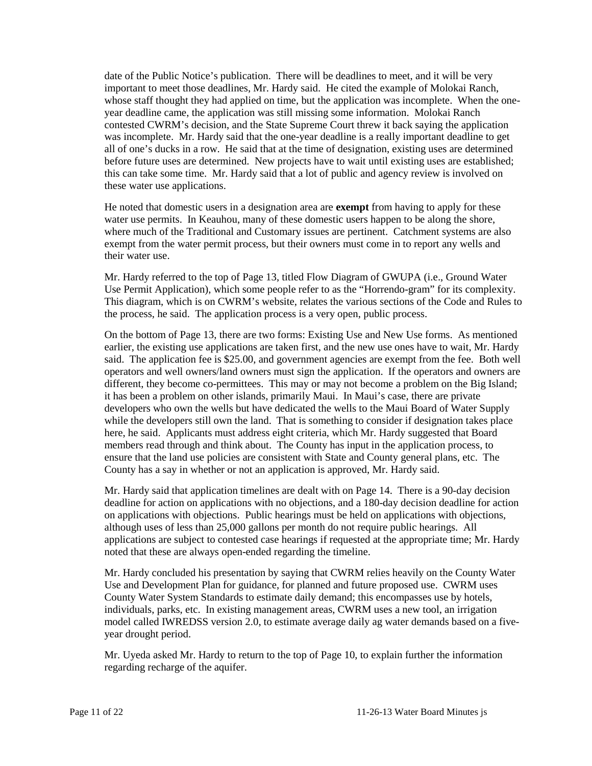date of the Public Notice's publication. There will be deadlines to meet, and it will be very important to meet those deadlines, Mr. Hardy said. He cited the example of Molokai Ranch, whose staff thought they had applied on time, but the application was incomplete. When the oneyear deadline came, the application was still missing some information. Molokai Ranch contested CWRM's decision, and the State Supreme Court threw it back saying the application was incomplete. Mr. Hardy said that the one-year deadline is a really important deadline to get all of one's ducks in a row. He said that at the time of designation, existing uses are determined before future uses are determined. New projects have to wait until existing uses are established; this can take some time. Mr. Hardy said that a lot of public and agency review is involved on these water use applications.

He noted that domestic users in a designation area are **exempt** from having to apply for these water use permits. In Keauhou, many of these domestic users happen to be along the shore, where much of the Traditional and Customary issues are pertinent. Catchment systems are also exempt from the water permit process, but their owners must come in to report any wells and their water use.

Mr. Hardy referred to the top of Page 13, titled Flow Diagram of GWUPA (i.e., Ground Water Use Permit Application), which some people refer to as the "Horrendo-gram" for its complexity. This diagram, which is on CWRM's website, relates the various sections of the Code and Rules to the process, he said. The application process is a very open, public process.

On the bottom of Page 13, there are two forms: Existing Use and New Use forms. As mentioned earlier, the existing use applications are taken first, and the new use ones have to wait, Mr. Hardy said. The application fee is \$25.00, and government agencies are exempt from the fee. Both well operators and well owners/land owners must sign the application. If the operators and owners are different, they become co-permittees. This may or may not become a problem on the Big Island; it has been a problem on other islands, primarily Maui. In Maui's case, there are private developers who own the wells but have dedicated the wells to the Maui Board of Water Supply while the developers still own the land. That is something to consider if designation takes place here, he said. Applicants must address eight criteria, which Mr. Hardy suggested that Board members read through and think about. The County has input in the application process, to ensure that the land use policies are consistent with State and County general plans, etc. The County has a say in whether or not an application is approved, Mr. Hardy said.

Mr. Hardy said that application timelines are dealt with on Page 14. There is a 90-day decision deadline for action on applications with no objections, and a 180-day decision deadline for action on applications with objections. Public hearings must be held on applications with objections, although uses of less than 25,000 gallons per month do not require public hearings. All applications are subject to contested case hearings if requested at the appropriate time; Mr. Hardy noted that these are always open-ended regarding the timeline.

Mr. Hardy concluded his presentation by saying that CWRM relies heavily on the County Water Use and Development Plan for guidance, for planned and future proposed use. CWRM uses County Water System Standards to estimate daily demand; this encompasses use by hotels, individuals, parks, etc. In existing management areas, CWRM uses a new tool, an irrigation model called IWREDSS version 2.0, to estimate average daily ag water demands based on a fiveyear drought period.

Mr. Uyeda asked Mr. Hardy to return to the top of Page 10, to explain further the information regarding recharge of the aquifer.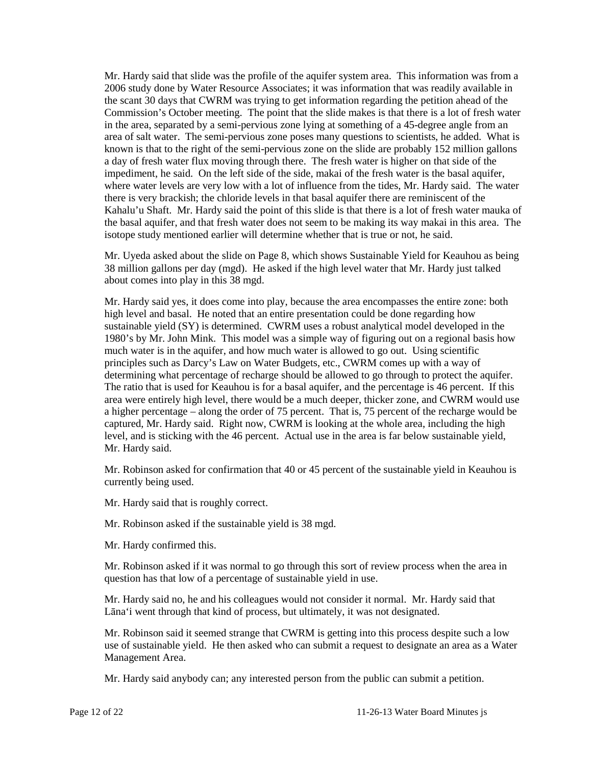Mr. Hardy said that slide was the profile of the aquifer system area. This information was from a 2006 study done by Water Resource Associates; it was information that was readily available in the scant 30 days that CWRM was trying to get information regarding the petition ahead of the Commission's October meeting. The point that the slide makes is that there is a lot of fresh water in the area, separated by a semi-pervious zone lying at something of a 45-degree angle from an area of salt water. The semi-pervious zone poses many questions to scientists, he added. What is known is that to the right of the semi-pervious zone on the slide are probably 152 million gallons a day of fresh water flux moving through there. The fresh water is higher on that side of the impediment, he said. On the left side of the side, makai of the fresh water is the basal aquifer, where water levels are very low with a lot of influence from the tides, Mr. Hardy said. The water there is very brackish; the chloride levels in that basal aquifer there are reminiscent of the Kahalu'u Shaft. Mr. Hardy said the point of this slide is that there is a lot of fresh water mauka of the basal aquifer, and that fresh water does not seem to be making its way makai in this area. The isotope study mentioned earlier will determine whether that is true or not, he said.

Mr. Uyeda asked about the slide on Page 8, which shows Sustainable Yield for Keauhou as being 38 million gallons per day (mgd). He asked if the high level water that Mr. Hardy just talked about comes into play in this 38 mgd.

Mr. Hardy said yes, it does come into play, because the area encompasses the entire zone: both high level and basal. He noted that an entire presentation could be done regarding how sustainable yield (SY) is determined. CWRM uses a robust analytical model developed in the 1980's by Mr. John Mink. This model was a simple way of figuring out on a regional basis how much water is in the aquifer, and how much water is allowed to go out. Using scientific principles such as Darcy's Law on Water Budgets, etc., CWRM comes up with a way of determining what percentage of recharge should be allowed to go through to protect the aquifer. The ratio that is used for Keauhou is for a basal aquifer, and the percentage is 46 percent. If this area were entirely high level, there would be a much deeper, thicker zone, and CWRM would use a higher percentage – along the order of 75 percent. That is, 75 percent of the recharge would be captured, Mr. Hardy said. Right now, CWRM is looking at the whole area, including the high level, and is sticking with the 46 percent. Actual use in the area is far below sustainable yield, Mr. Hardy said.

Mr. Robinson asked for confirmation that 40 or 45 percent of the sustainable yield in Keauhou is currently being used.

Mr. Hardy said that is roughly correct.

Mr. Robinson asked if the sustainable yield is 38 mgd.

Mr. Hardy confirmed this.

Mr. Robinson asked if it was normal to go through this sort of review process when the area in question has that low of a percentage of sustainable yield in use.

Mr. Hardy said no, he and his colleagues would not consider it normal. Mr. Hardy said that Lāna'i went through that kind of process, but ultimately, it was not designated.

Mr. Robinson said it seemed strange that CWRM is getting into this process despite such a low use of sustainable yield. He then asked who can submit a request to designate an area as a Water Management Area.

Mr. Hardy said anybody can; any interested person from the public can submit a petition.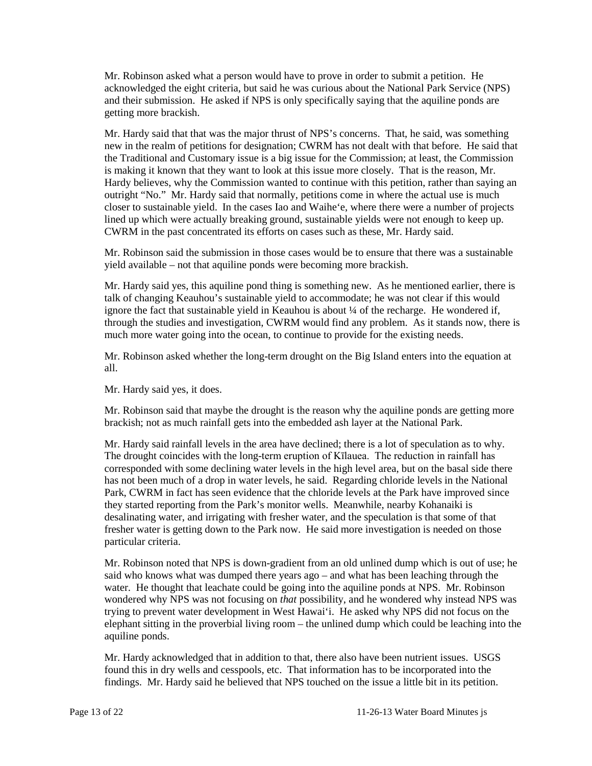Mr. Robinson asked what a person would have to prove in order to submit a petition. He acknowledged the eight criteria, but said he was curious about the National Park Service (NPS) and their submission. He asked if NPS is only specifically saying that the aquiline ponds are getting more brackish.

Mr. Hardy said that that was the major thrust of NPS's concerns. That, he said, was something new in the realm of petitions for designation; CWRM has not dealt with that before. He said that the Traditional and Customary issue is a big issue for the Commission; at least, the Commission is making it known that they want to look at this issue more closely. That is the reason, Mr. Hardy believes, why the Commission wanted to continue with this petition, rather than saying an outright "No." Mr. Hardy said that normally, petitions come in where the actual use is much closer to sustainable yield. In the cases Iao and Waihe'e, where there were a number of projects lined up which were actually breaking ground, sustainable yields were not enough to keep up. CWRM in the past concentrated its efforts on cases such as these, Mr. Hardy said.

Mr. Robinson said the submission in those cases would be to ensure that there was a sustainable yield available – not that aquiline ponds were becoming more brackish.

Mr. Hardy said yes, this aquiline pond thing is something new. As he mentioned earlier, there is talk of changing Keauhou's sustainable yield to accommodate; he was not clear if this would ignore the fact that sustainable yield in Keauhou is about  $\frac{1}{4}$  of the recharge. He wondered if, through the studies and investigation, CWRM would find any problem. As it stands now, there is much more water going into the ocean, to continue to provide for the existing needs.

Mr. Robinson asked whether the long-term drought on the Big Island enters into the equation at all.

Mr. Hardy said yes, it does.

Mr. Robinson said that maybe the drought is the reason why the aquiline ponds are getting more brackish; not as much rainfall gets into the embedded ash layer at the National Park.

Mr. Hardy said rainfall levels in the area have declined; there is a lot of speculation as to why. The drought coincides with the long-term eruption of Kīlauea. The reduction in rainfall has corresponded with some declining water levels in the high level area, but on the basal side there has not been much of a drop in water levels, he said. Regarding chloride levels in the National Park, CWRM in fact has seen evidence that the chloride levels at the Park have improved since they started reporting from the Park's monitor wells. Meanwhile, nearby Kohanaiki is desalinating water, and irrigating with fresher water, and the speculation is that some of that fresher water is getting down to the Park now. He said more investigation is needed on those particular criteria.

Mr. Robinson noted that NPS is down-gradient from an old unlined dump which is out of use; he said who knows what was dumped there years ago – and what has been leaching through the water. He thought that leachate could be going into the aquiline ponds at NPS. Mr. Robinson wondered why NPS was not focusing on *that* possibility, and he wondered why instead NPS was trying to prevent water development in West Hawai'i. He asked why NPS did not focus on the elephant sitting in the proverbial living room – the unlined dump which could be leaching into the aquiline ponds.

Mr. Hardy acknowledged that in addition to that, there also have been nutrient issues. USGS found this in dry wells and cesspools, etc. That information has to be incorporated into the findings. Mr. Hardy said he believed that NPS touched on the issue a little bit in its petition.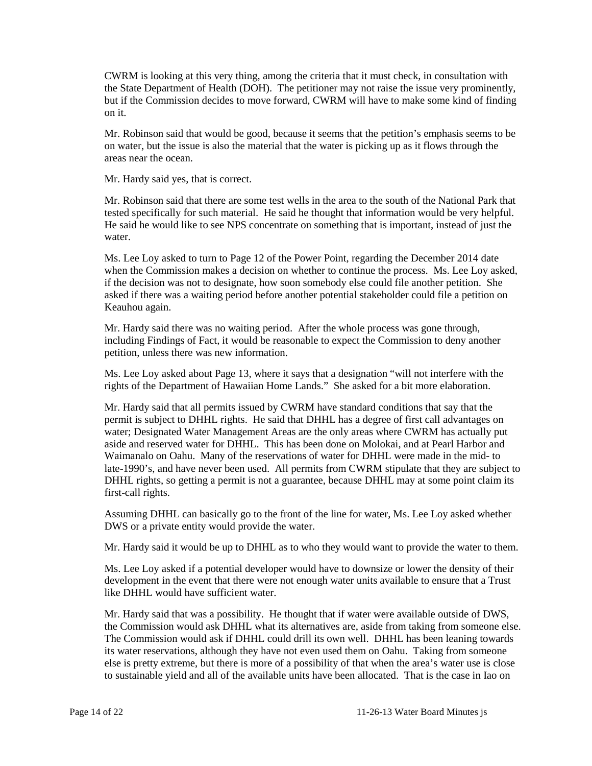CWRM is looking at this very thing, among the criteria that it must check, in consultation with the State Department of Health (DOH). The petitioner may not raise the issue very prominently, but if the Commission decides to move forward, CWRM will have to make some kind of finding on it.

Mr. Robinson said that would be good, because it seems that the petition's emphasis seems to be on water, but the issue is also the material that the water is picking up as it flows through the areas near the ocean.

Mr. Hardy said yes, that is correct.

Mr. Robinson said that there are some test wells in the area to the south of the National Park that tested specifically for such material. He said he thought that information would be very helpful. He said he would like to see NPS concentrate on something that is important, instead of just the water.

Ms. Lee Loy asked to turn to Page 12 of the Power Point, regarding the December 2014 date when the Commission makes a decision on whether to continue the process. Ms. Lee Loy asked, if the decision was not to designate, how soon somebody else could file another petition. She asked if there was a waiting period before another potential stakeholder could file a petition on Keauhou again.

Mr. Hardy said there was no waiting period. After the whole process was gone through, including Findings of Fact, it would be reasonable to expect the Commission to deny another petition, unless there was new information.

Ms. Lee Loy asked about Page 13, where it says that a designation "will not interfere with the rights of the Department of Hawaiian Home Lands." She asked for a bit more elaboration.

Mr. Hardy said that all permits issued by CWRM have standard conditions that say that the permit is subject to DHHL rights. He said that DHHL has a degree of first call advantages on water; Designated Water Management Areas are the only areas where CWRM has actually put aside and reserved water for DHHL. This has been done on Molokai, and at Pearl Harbor and Waimanalo on Oahu. Many of the reservations of water for DHHL were made in the mid- to late-1990's, and have never been used. All permits from CWRM stipulate that they are subject to DHHL rights, so getting a permit is not a guarantee, because DHHL may at some point claim its first-call rights.

Assuming DHHL can basically go to the front of the line for water, Ms. Lee Loy asked whether DWS or a private entity would provide the water.

Mr. Hardy said it would be up to DHHL as to who they would want to provide the water to them.

Ms. Lee Loy asked if a potential developer would have to downsize or lower the density of their development in the event that there were not enough water units available to ensure that a Trust like DHHL would have sufficient water.

Mr. Hardy said that was a possibility. He thought that if water were available outside of DWS, the Commission would ask DHHL what its alternatives are, aside from taking from someone else. The Commission would ask if DHHL could drill its own well. DHHL has been leaning towards its water reservations, although they have not even used them on Oahu. Taking from someone else is pretty extreme, but there is more of a possibility of that when the area's water use is close to sustainable yield and all of the available units have been allocated. That is the case in Iao on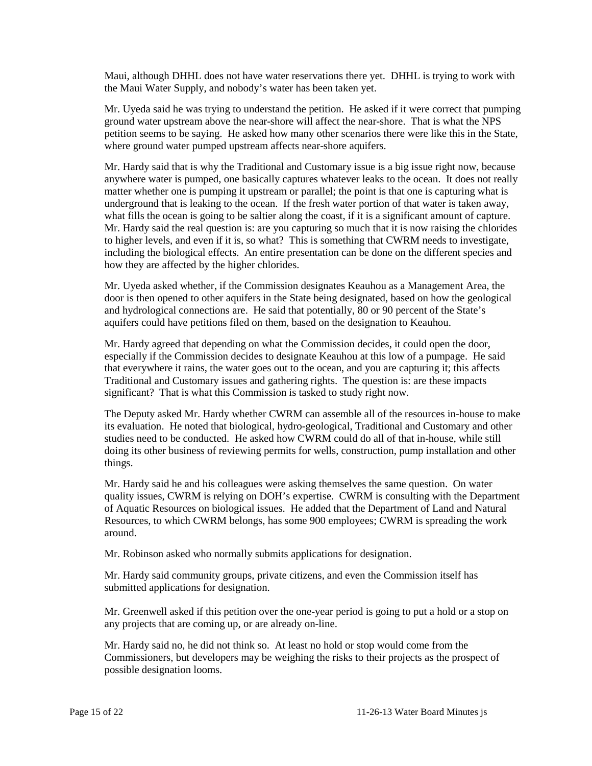Maui, although DHHL does not have water reservations there yet. DHHL is trying to work with the Maui Water Supply, and nobody's water has been taken yet.

Mr. Uyeda said he was trying to understand the petition. He asked if it were correct that pumping ground water upstream above the near-shore will affect the near-shore. That is what the NPS petition seems to be saying. He asked how many other scenarios there were like this in the State, where ground water pumped upstream affects near-shore aquifers.

Mr. Hardy said that is why the Traditional and Customary issue is a big issue right now, because anywhere water is pumped, one basically captures whatever leaks to the ocean. It does not really matter whether one is pumping it upstream or parallel; the point is that one is capturing what is underground that is leaking to the ocean. If the fresh water portion of that water is taken away, what fills the ocean is going to be saltier along the coast, if it is a significant amount of capture. Mr. Hardy said the real question is: are you capturing so much that it is now raising the chlorides to higher levels, and even if it is, so what? This is something that CWRM needs to investigate, including the biological effects. An entire presentation can be done on the different species and how they are affected by the higher chlorides.

Mr. Uyeda asked whether, if the Commission designates Keauhou as a Management Area, the door is then opened to other aquifers in the State being designated, based on how the geological and hydrological connections are. He said that potentially, 80 or 90 percent of the State's aquifers could have petitions filed on them, based on the designation to Keauhou.

Mr. Hardy agreed that depending on what the Commission decides, it could open the door, especially if the Commission decides to designate Keauhou at this low of a pumpage. He said that everywhere it rains, the water goes out to the ocean, and you are capturing it; this affects Traditional and Customary issues and gathering rights. The question is: are these impacts significant? That is what this Commission is tasked to study right now.

The Deputy asked Mr. Hardy whether CWRM can assemble all of the resources in-house to make its evaluation. He noted that biological, hydro-geological, Traditional and Customary and other studies need to be conducted. He asked how CWRM could do all of that in-house, while still doing its other business of reviewing permits for wells, construction, pump installation and other things.

Mr. Hardy said he and his colleagues were asking themselves the same question. On water quality issues, CWRM is relying on DOH's expertise. CWRM is consulting with the Department of Aquatic Resources on biological issues. He added that the Department of Land and Natural Resources, to which CWRM belongs, has some 900 employees; CWRM is spreading the work around.

Mr. Robinson asked who normally submits applications for designation.

Mr. Hardy said community groups, private citizens, and even the Commission itself has submitted applications for designation.

Mr. Greenwell asked if this petition over the one-year period is going to put a hold or a stop on any projects that are coming up, or are already on-line.

Mr. Hardy said no, he did not think so. At least no hold or stop would come from the Commissioners, but developers may be weighing the risks to their projects as the prospect of possible designation looms.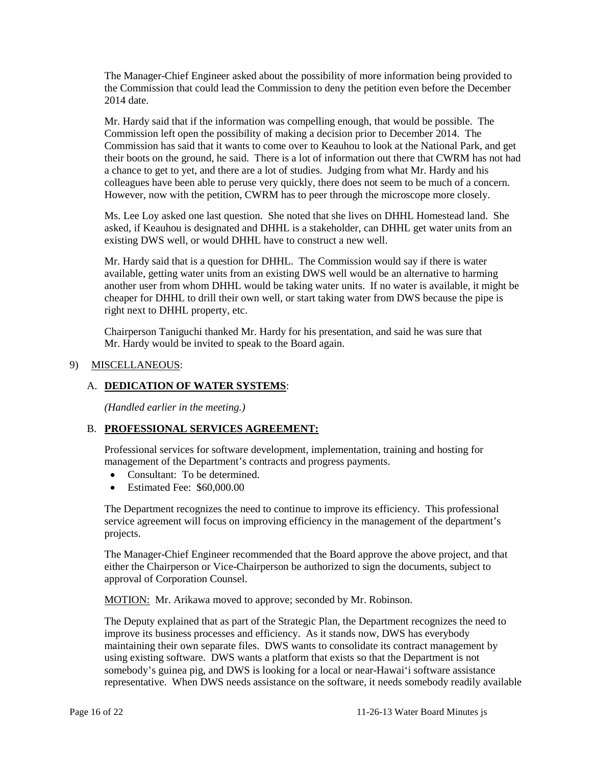The Manager-Chief Engineer asked about the possibility of more information being provided to the Commission that could lead the Commission to deny the petition even before the December 2014 date.

Mr. Hardy said that if the information was compelling enough, that would be possible. The Commission left open the possibility of making a decision prior to December 2014. The Commission has said that it wants to come over to Keauhou to look at the National Park, and get their boots on the ground, he said. There is a lot of information out there that CWRM has not had a chance to get to yet, and there are a lot of studies. Judging from what Mr. Hardy and his colleagues have been able to peruse very quickly, there does not seem to be much of a concern. However, now with the petition, CWRM has to peer through the microscope more closely.

Ms. Lee Loy asked one last question. She noted that she lives on DHHL Homestead land. She asked, if Keauhou is designated and DHHL is a stakeholder, can DHHL get water units from an existing DWS well, or would DHHL have to construct a new well.

Mr. Hardy said that is a question for DHHL. The Commission would say if there is water available, getting water units from an existing DWS well would be an alternative to harming another user from whom DHHL would be taking water units. If no water is available, it might be cheaper for DHHL to drill their own well, or start taking water from DWS because the pipe is right next to DHHL property, etc.

Chairperson Taniguchi thanked Mr. Hardy for his presentation, and said he was sure that Mr. Hardy would be invited to speak to the Board again.

## 9) MISCELLANEOUS:

## A. **DEDICATION OF WATER SYSTEMS**:

*(Handled earlier in the meeting.)* 

### B. **PROFESSIONAL SERVICES AGREEMENT:**

Professional services for software development, implementation, training and hosting for management of the Department's contracts and progress payments.

- Consultant: To be determined.
- Estimated Fee: \$60,000,00

The Department recognizes the need to continue to improve its efficiency. This professional service agreement will focus on improving efficiency in the management of the department's projects.

The Manager-Chief Engineer recommended that the Board approve the above project, and that either the Chairperson or Vice-Chairperson be authorized to sign the documents, subject to approval of Corporation Counsel.

MOTION: Mr. Arikawa moved to approve; seconded by Mr. Robinson.

The Deputy explained that as part of the Strategic Plan, the Department recognizes the need to improve its business processes and efficiency. As it stands now, DWS has everybody maintaining their own separate files. DWS wants to consolidate its contract management by using existing software. DWS wants a platform that exists so that the Department is not somebody's guinea pig, and DWS is looking for a local or near-Hawai'i software assistance representative. When DWS needs assistance on the software, it needs somebody readily available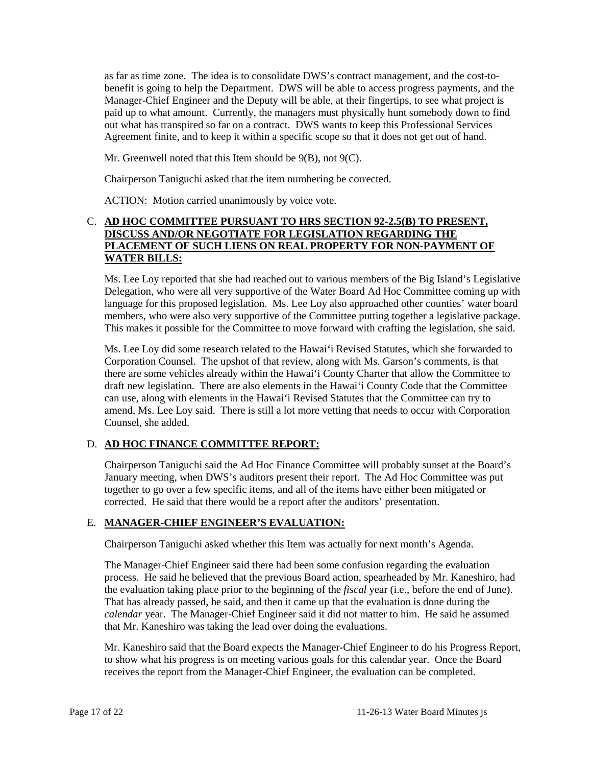as far as time zone. The idea is to consolidate DWS's contract management, and the cost-tobenefit is going to help the Department. DWS will be able to access progress payments, and the Manager-Chief Engineer and the Deputy will be able, at their fingertips, to see what project is paid up to what amount. Currently, the managers must physically hunt somebody down to find out what has transpired so far on a contract. DWS wants to keep this Professional Services Agreement finite, and to keep it within a specific scope so that it does not get out of hand.

Mr. Greenwell noted that this Item should be 9(B), not 9(C).

Chairperson Taniguchi asked that the item numbering be corrected.

ACTION: Motion carried unanimously by voice vote.

## C. **AD HOC COMMITTEE PURSUANT TO HRS SECTION 92-2.5(B) TO PRESENT, DISCUSS AND/OR NEGOTIATE FOR LEGISLATION REGARDING THE PLACEMENT OF SUCH LIENS ON REAL PROPERTY FOR NON-PAYMENT OF WATER BILLS:**

Ms. Lee Loy reported that she had reached out to various members of the Big Island's Legislative Delegation, who were all very supportive of the Water Board Ad Hoc Committee coming up with language for this proposed legislation. Ms. Lee Loy also approached other counties' water board members, who were also very supportive of the Committee putting together a legislative package. This makes it possible for the Committee to move forward with crafting the legislation, she said.

Ms. Lee Loy did some research related to the Hawai'i Revised Statutes, which she forwarded to Corporation Counsel. The upshot of that review, along with Ms. Garson's comments, is that there are some vehicles already within the Hawai'i County Charter that allow the Committee to draft new legislation. There are also elements in the Hawai'i County Code that the Committee can use, along with elements in the Hawai'i Revised Statutes that the Committee can try to amend, Ms. Lee Loy said. There is still a lot more vetting that needs to occur with Corporation Counsel, she added.

# D. **AD HOC FINANCE COMMITTEE REPORT:**

Chairperson Taniguchi said the Ad Hoc Finance Committee will probably sunset at the Board's January meeting, when DWS's auditors present their report. The Ad Hoc Committee was put together to go over a few specific items, and all of the items have either been mitigated or corrected. He said that there would be a report after the auditors' presentation.

# E. **MANAGER-CHIEF ENGINEER'S EVALUATION:**

Chairperson Taniguchi asked whether this Item was actually for next month's Agenda.

The Manager-Chief Engineer said there had been some confusion regarding the evaluation process. He said he believed that the previous Board action, spearheaded by Mr. Kaneshiro, had the evaluation taking place prior to the beginning of the *fiscal* year (i.e., before the end of June). That has already passed, he said, and then it came up that the evaluation is done during the *calendar* year. The Manager-Chief Engineer said it did not matter to him. He said he assumed that Mr. Kaneshiro was taking the lead over doing the evaluations.

Mr. Kaneshiro said that the Board expects the Manager-Chief Engineer to do his Progress Report, to show what his progress is on meeting various goals for this calendar year. Once the Board receives the report from the Manager-Chief Engineer, the evaluation can be completed.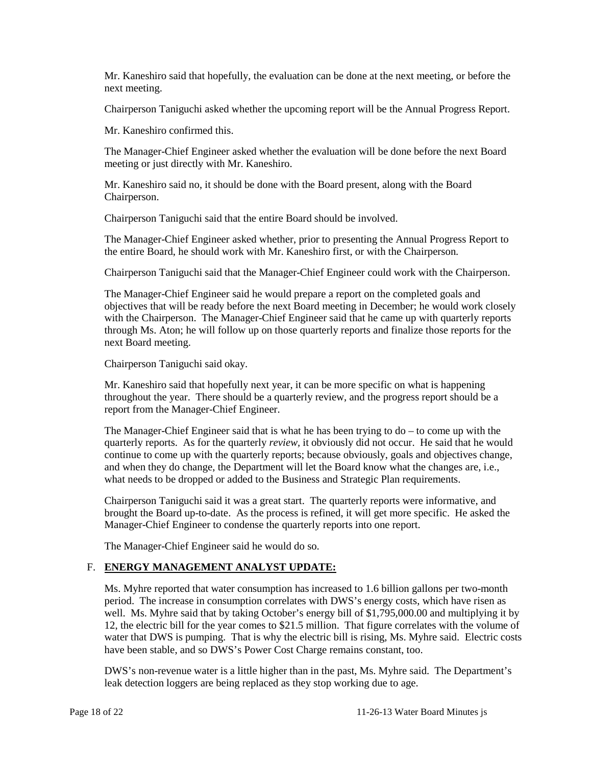Mr. Kaneshiro said that hopefully, the evaluation can be done at the next meeting, or before the next meeting.

Chairperson Taniguchi asked whether the upcoming report will be the Annual Progress Report.

Mr. Kaneshiro confirmed this.

The Manager-Chief Engineer asked whether the evaluation will be done before the next Board meeting or just directly with Mr. Kaneshiro.

Mr. Kaneshiro said no, it should be done with the Board present, along with the Board Chairperson.

Chairperson Taniguchi said that the entire Board should be involved.

The Manager-Chief Engineer asked whether, prior to presenting the Annual Progress Report to the entire Board, he should work with Mr. Kaneshiro first, or with the Chairperson.

Chairperson Taniguchi said that the Manager-Chief Engineer could work with the Chairperson.

The Manager-Chief Engineer said he would prepare a report on the completed goals and objectives that will be ready before the next Board meeting in December; he would work closely with the Chairperson. The Manager-Chief Engineer said that he came up with quarterly reports through Ms. Aton; he will follow up on those quarterly reports and finalize those reports for the next Board meeting.

Chairperson Taniguchi said okay.

Mr. Kaneshiro said that hopefully next year, it can be more specific on what is happening throughout the year. There should be a quarterly review, and the progress report should be a report from the Manager-Chief Engineer.

The Manager-Chief Engineer said that is what he has been trying to do – to come up with the quarterly reports. As for the quarterly *review,* it obviously did not occur. He said that he would continue to come up with the quarterly reports; because obviously, goals and objectives change, and when they do change, the Department will let the Board know what the changes are, i.e., what needs to be dropped or added to the Business and Strategic Plan requirements.

Chairperson Taniguchi said it was a great start. The quarterly reports were informative, and brought the Board up-to-date. As the process is refined, it will get more specific. He asked the Manager-Chief Engineer to condense the quarterly reports into one report.

The Manager-Chief Engineer said he would do so.

# F. **ENERGY MANAGEMENT ANALYST UPDATE:**

Ms. Myhre reported that water consumption has increased to 1.6 billion gallons per two-month period. The increase in consumption correlates with DWS's energy costs, which have risen as well. Ms. Myhre said that by taking October's energy bill of \$1,795,000.00 and multiplying it by 12, the electric bill for the year comes to \$21.5 million. That figure correlates with the volume of water that DWS is pumping. That is why the electric bill is rising, Ms. Myhre said. Electric costs have been stable, and so DWS's Power Cost Charge remains constant, too.

DWS's non-revenue water is a little higher than in the past, Ms. Myhre said. The Department's leak detection loggers are being replaced as they stop working due to age.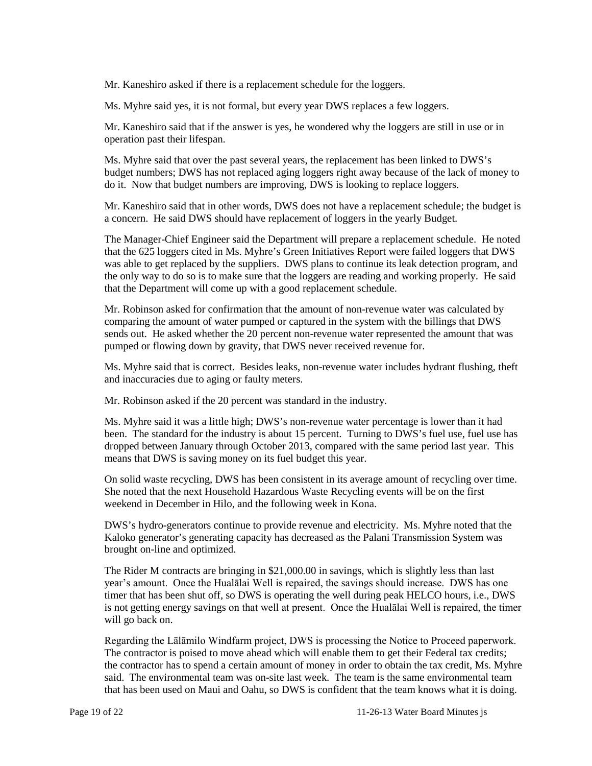Mr. Kaneshiro asked if there is a replacement schedule for the loggers.

Ms. Myhre said yes, it is not formal, but every year DWS replaces a few loggers.

Mr. Kaneshiro said that if the answer is yes, he wondered why the loggers are still in use or in operation past their lifespan.

Ms. Myhre said that over the past several years, the replacement has been linked to DWS's budget numbers; DWS has not replaced aging loggers right away because of the lack of money to do it. Now that budget numbers are improving, DWS is looking to replace loggers.

Mr. Kaneshiro said that in other words, DWS does not have a replacement schedule; the budget is a concern. He said DWS should have replacement of loggers in the yearly Budget.

The Manager-Chief Engineer said the Department will prepare a replacement schedule. He noted that the 625 loggers cited in Ms. Myhre's Green Initiatives Report were failed loggers that DWS was able to get replaced by the suppliers. DWS plans to continue its leak detection program, and the only way to do so is to make sure that the loggers are reading and working properly. He said that the Department will come up with a good replacement schedule.

Mr. Robinson asked for confirmation that the amount of non-revenue water was calculated by comparing the amount of water pumped or captured in the system with the billings that DWS sends out. He asked whether the 20 percent non-revenue water represented the amount that was pumped or flowing down by gravity, that DWS never received revenue for.

Ms. Myhre said that is correct. Besides leaks, non-revenue water includes hydrant flushing, theft and inaccuracies due to aging or faulty meters.

Mr. Robinson asked if the 20 percent was standard in the industry.

Ms. Myhre said it was a little high; DWS's non-revenue water percentage is lower than it had been. The standard for the industry is about 15 percent. Turning to DWS's fuel use, fuel use has dropped between January through October 2013, compared with the same period last year. This means that DWS is saving money on its fuel budget this year.

On solid waste recycling, DWS has been consistent in its average amount of recycling over time. She noted that the next Household Hazardous Waste Recycling events will be on the first weekend in December in Hilo, and the following week in Kona.

DWS's hydro-generators continue to provide revenue and electricity. Ms. Myhre noted that the Kaloko generator's generating capacity has decreased as the Palani Transmission System was brought on-line and optimized.

The Rider M contracts are bringing in \$21,000.00 in savings, which is slightly less than last year's amount. Once the Hualālai Well is repaired, the savings should increase. DWS has one timer that has been shut off, so DWS is operating the well during peak HELCO hours, i.e., DWS is not getting energy savings on that well at present. Once the Hualālai Well is repaired, the timer will go back on.

Regarding the Lālāmilo Windfarm project, DWS is processing the Notice to Proceed paperwork. The contractor is poised to move ahead which will enable them to get their Federal tax credits; the contractor has to spend a certain amount of money in order to obtain the tax credit, Ms. Myhre said. The environmental team was on-site last week. The team is the same environmental team that has been used on Maui and Oahu, so DWS is confident that the team knows what it is doing.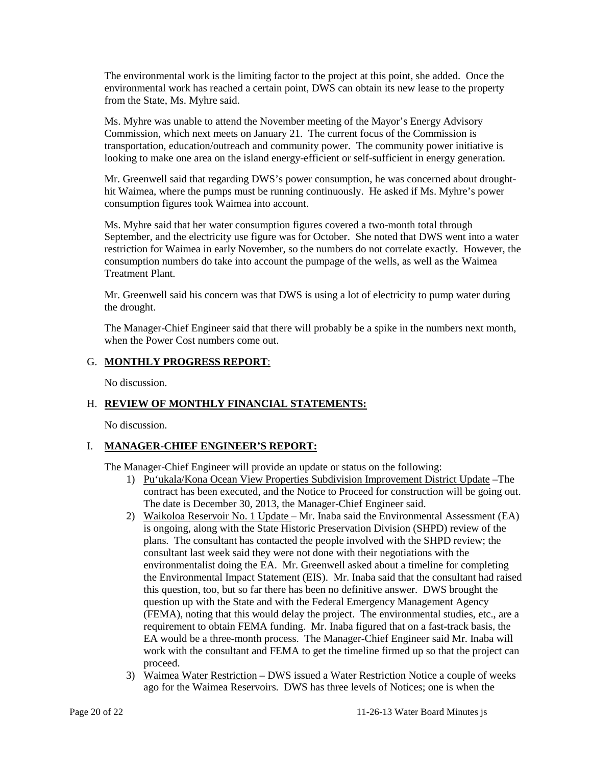The environmental work is the limiting factor to the project at this point, she added. Once the environmental work has reached a certain point, DWS can obtain its new lease to the property from the State, Ms. Myhre said.

Ms. Myhre was unable to attend the November meeting of the Mayor's Energy Advisory Commission, which next meets on January 21. The current focus of the Commission is transportation, education/outreach and community power. The community power initiative is looking to make one area on the island energy-efficient or self-sufficient in energy generation.

Mr. Greenwell said that regarding DWS's power consumption, he was concerned about droughthit Waimea, where the pumps must be running continuously. He asked if Ms. Myhre's power consumption figures took Waimea into account.

Ms. Myhre said that her water consumption figures covered a two-month total through September, and the electricity use figure was for October. She noted that DWS went into a water restriction for Waimea in early November, so the numbers do not correlate exactly. However, the consumption numbers do take into account the pumpage of the wells, as well as the Waimea Treatment Plant.

Mr. Greenwell said his concern was that DWS is using a lot of electricity to pump water during the drought.

The Manager-Chief Engineer said that there will probably be a spike in the numbers next month, when the Power Cost numbers come out.

## G. **MONTHLY PROGRESS REPORT**:

No discussion.

# H. **REVIEW OF MONTHLY FINANCIAL STATEMENTS:**

No discussion.

### I. **MANAGER-CHIEF ENGINEER'S REPORT:**

The Manager-Chief Engineer will provide an update or status on the following:

- 1) Pu'ukala/Kona Ocean View Properties Subdivision Improvement District Update –The contract has been executed, and the Notice to Proceed for construction will be going out. The date is December 30, 2013, the Manager-Chief Engineer said.
- 2) Waikoloa Reservoir No. 1 Update Mr. Inaba said the Environmental Assessment (EA) is ongoing, along with the State Historic Preservation Division (SHPD) review of the plans. The consultant has contacted the people involved with the SHPD review; the consultant last week said they were not done with their negotiations with the environmentalist doing the EA. Mr. Greenwell asked about a timeline for completing the Environmental Impact Statement (EIS). Mr. Inaba said that the consultant had raised this question, too, but so far there has been no definitive answer. DWS brought the question up with the State and with the Federal Emergency Management Agency (FEMA), noting that this would delay the project. The environmental studies, etc., are a requirement to obtain FEMA funding. Mr. Inaba figured that on a fast-track basis, the EA would be a three-month process. The Manager-Chief Engineer said Mr. Inaba will work with the consultant and FEMA to get the timeline firmed up so that the project can proceed.
- 3) Waimea Water Restriction DWS issued a Water Restriction Notice a couple of weeks ago for the Waimea Reservoirs. DWS has three levels of Notices; one is when the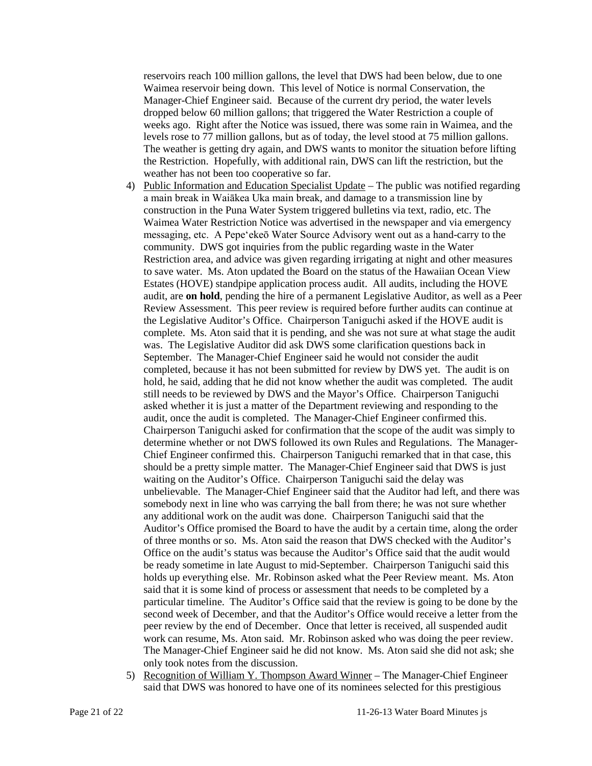reservoirs reach 100 million gallons, the level that DWS had been below, due to one Waimea reservoir being down. This level of Notice is normal Conservation, the Manager-Chief Engineer said. Because of the current dry period, the water levels dropped below 60 million gallons; that triggered the Water Restriction a couple of weeks ago. Right after the Notice was issued, there was some rain in Waimea, and the levels rose to 77 million gallons, but as of today, the level stood at 75 million gallons. The weather is getting dry again, and DWS wants to monitor the situation before lifting the Restriction. Hopefully, with additional rain, DWS can lift the restriction, but the weather has not been too cooperative so far.

- 4) Public Information and Education Specialist Update The public was notified regarding a main break in Waiākea Uka main break, and damage to a transmission line by construction in the Puna Water System triggered bulletins via text, radio, etc. The Waimea Water Restriction Notice was advertised in the newspaper and via emergency messaging, etc. A Pepe'ekeō Water Source Advisory went out as a hand-carry to the community. DWS got inquiries from the public regarding waste in the Water Restriction area, and advice was given regarding irrigating at night and other measures to save water. Ms. Aton updated the Board on the status of the Hawaiian Ocean View Estates (HOVE) standpipe application process audit. All audits, including the HOVE audit, are **on hold**, pending the hire of a permanent Legislative Auditor, as well as a Peer Review Assessment. This peer review is required before further audits can continue at the Legislative Auditor's Office. Chairperson Taniguchi asked if the HOVE audit is complete. Ms. Aton said that it is pending, and she was not sure at what stage the audit was. The Legislative Auditor did ask DWS some clarification questions back in September. The Manager-Chief Engineer said he would not consider the audit completed, because it has not been submitted for review by DWS yet. The audit is on hold, he said, adding that he did not know whether the audit was completed. The audit still needs to be reviewed by DWS and the Mayor's Office. Chairperson Taniguchi asked whether it is just a matter of the Department reviewing and responding to the audit, once the audit is completed. The Manager-Chief Engineer confirmed this. Chairperson Taniguchi asked for confirmation that the scope of the audit was simply to determine whether or not DWS followed its own Rules and Regulations. The Manager-Chief Engineer confirmed this. Chairperson Taniguchi remarked that in that case, this should be a pretty simple matter. The Manager-Chief Engineer said that DWS is just waiting on the Auditor's Office. Chairperson Taniguchi said the delay was unbelievable. The Manager-Chief Engineer said that the Auditor had left, and there was somebody next in line who was carrying the ball from there; he was not sure whether any additional work on the audit was done. Chairperson Taniguchi said that the Auditor's Office promised the Board to have the audit by a certain time, along the order of three months or so. Ms. Aton said the reason that DWS checked with the Auditor's Office on the audit's status was because the Auditor's Office said that the audit would be ready sometime in late August to mid-September. Chairperson Taniguchi said this holds up everything else. Mr. Robinson asked what the Peer Review meant. Ms. Aton said that it is some kind of process or assessment that needs to be completed by a particular timeline. The Auditor's Office said that the review is going to be done by the second week of December, and that the Auditor's Office would receive a letter from the peer review by the end of December. Once that letter is received, all suspended audit work can resume, Ms. Aton said. Mr. Robinson asked who was doing the peer review. The Manager-Chief Engineer said he did not know. Ms. Aton said she did not ask; she only took notes from the discussion.
- 5) Recognition of William Y. Thompson Award Winner The Manager-Chief Engineer said that DWS was honored to have one of its nominees selected for this prestigious